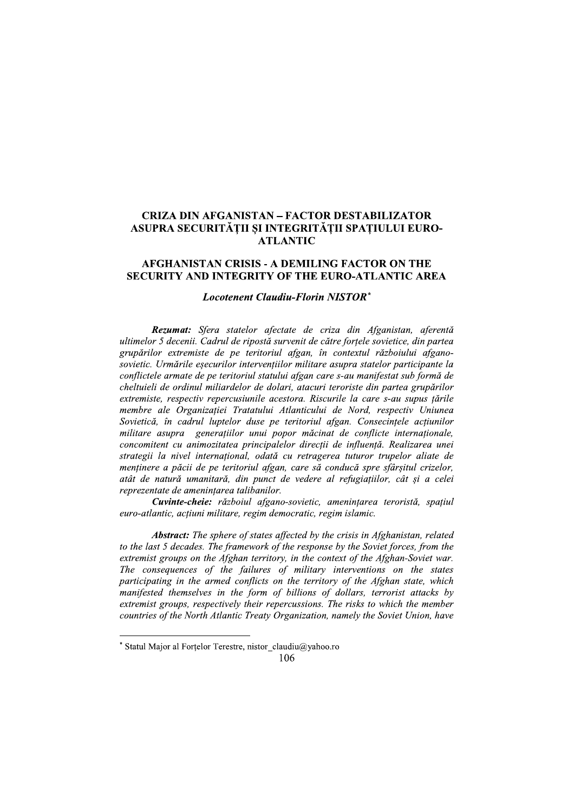# **CRIZA DIN AFGANISTAN - FACTOR DESTABILIZATOR** ASUPRA SECURITĂȚII ȘI INTEGRITĂȚII SPAȚIULUI EURO-**ATLANTIC**

## **AFGHANISTAN CRISIS - A DEMILING FACTOR ON THE SECURITY AND INTEGRITY OF THE EURO-ATLANTIC AREA**

### **Locotenent Claudiu-Florin NISTOR\***

Rezumat: Sfera statelor afectate de criza din Afganistan, aferentă ultimelor 5 decenii. Cadrul de ripostă survenit de către fortele sovietice, din partea grupărilor extremiste de pe teritoriul afgan, în contextul războiului afganosovietic. Urmările eșecurilor intervențiilor militare asupra statelor participante la conflictele armate de pe teritoriul statului afgan care s-au manifestat sub formă de cheltuieli de ordinul miliardelor de dolari, atacuri teroriste din partea grupărilor extremiste, respectiv repercusiunile acestora. Riscurile la care s-au supus tările membre ale Organizației Tratatului Atlanticului de Nord, respectiv Uniunea Sovietică, în cadrul luptelor duse pe teritoriul afgan. Consecințele acțiunilor militare asupra generatiilor unui popor măcinat de conflicte internationale, concomitent cu animozitatea principalelor direcții de influență. Realizarea unei strategii la nivel internațional, odată cu retragerea tuturor trupelor aliate de menținere a păcii de pe teritoriul afgan, care să conducă spre sfârșitul crizelor, atât de natură umanitară, din punct de vedere al refugiațiilor, cât și a celei reprezentate de amenințarea talibanilor.

Cuvinte-cheie: războiul afgano-sovietic, amenințarea teroristă, spațiul euro-atlantic, actiuni militare, regim democratic, regim islamic.

**Abstract:** The sphere of states affected by the crisis in Afghanistan, related to the last 5 decades. The framework of the response by the Soviet forces, from the extremist groups on the Afghan territory, in the context of the Afghan-Soviet war. The consequences of the failures of military interventions on the states participating in the armed conflicts on the territory of the Afghan state, which manifested themselves in the form of billions of dollars, terrorist attacks by extremist groups, respectively their repercussions. The risks to which the member countries of the North Atlantic Treaty Organization, namely the Soviet Union, have

<sup>\*</sup> Statul Major al Fortelor Terestre, nistor claudiu@yahoo.ro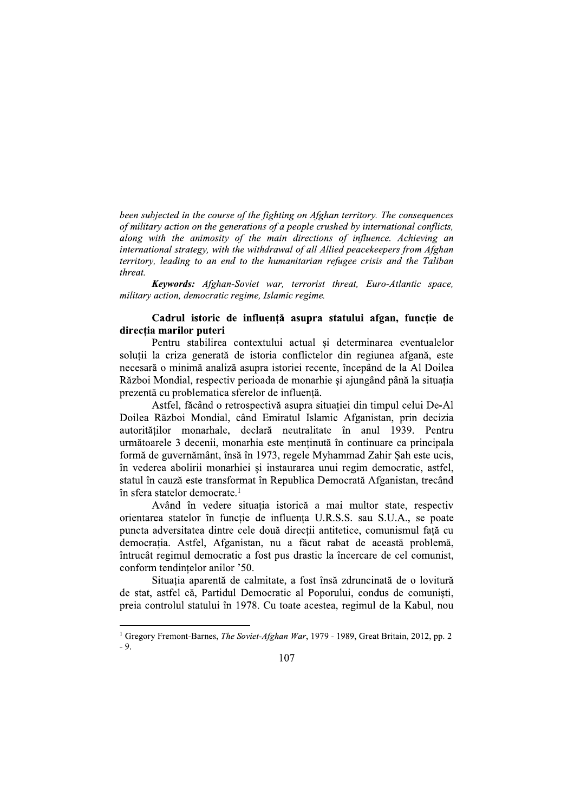been subjected in the course of the fighting on Afghan territory. The consequences of military action on the generations of a people crushed by international conflicts, along with the animosity of the main directions of influence. Achieving an international strategy, with the withdrawal of all Allied peacekeepers from Afghan territory, leading to an end to the humanitarian refugee crisis and the Taliban threat

Keywords: Afghan-Soviet war, terrorist threat, Euro-Atlantic space, military action, democratic regime, Islamic regime.

# Cadrul istoric de influență asupra statului afgan, funcție de direcția marilor puteri

Pentru stabilirea contextului actual și determinarea eventualelor solutii la criza generată de istoria conflictelor din regiunea afgană, este necesară o minimă analiză asupra istoriei recente, începând de la Al Doilea Război Mondial, respectiv perioada de monarhie și ajungând până la situația prezentă cu problematica sferelor de influență.

Astfel, făcând o retrospectivă asupra situației din timpul celui De-Al Doilea Război Mondial, când Emiratul Islamic Afganistan, prin decizia autorităților monarhale, declară neutralitate în anul 1939. Pentru următoarele 3 decenii, monarhia este menținută în continuare ca principala formă de guvernământ, însă în 1973, regele Myhammad Zahir Șah este ucis, în vederea abolirii monarhiei și instaurarea unui regim democratic, astfel, statul în cauză este transformat în Republica Democrată Afganistan, trecând în sfera statelor democrate.<sup>1</sup>

Având în vedere situația istorică a mai multor state, respectiv orientarea statelor în funcție de influența U.R.S.S. sau S.U.A., se poate puncta adversitatea dintre cele două directii antitetice, comunismul fată cu democrația. Astfel, Afganistan, nu a făcut rabat de această problemă, întrucât regimul democratic a fost pus drastic la încercare de cel comunist, conform tendintelor anilor '50.

Situația aparentă de calmitate, a fost însă zdruncinată de o lovitură de stat, astfel că, Partidul Democratic al Poporului, condus de comuniști, preia controlul statului în 1978. Cu toate acestea, regimul de la Kabul, nou

<sup>&</sup>lt;sup>1</sup> Gregory Fremont-Barnes, *The Soviet-Afghan War*, 1979 - 1989, Great Britain, 2012, pp. 2  $-9.$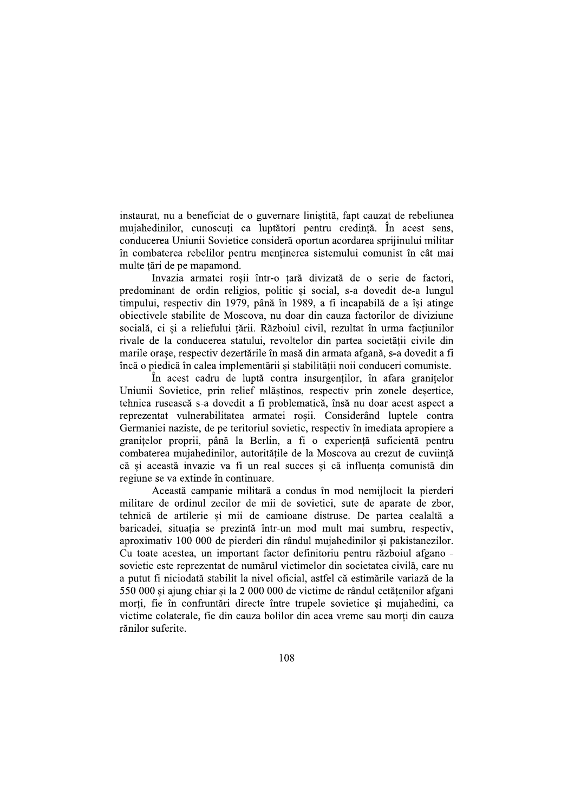instaurat, nu a beneficiat de o guvernare liniștită, fapt cauzat de rebeliunea mujahedinilor, cunoscuți ca luptători pentru credință. În acest sens, conducerea Uniunii Sovietice consideră oportun acordarea spriiinului militar în combaterea rebelilor pentru menținerea sistemului comunist în cât mai multe tări de pe mapamond.

Invazia armatei roșii într-o țară divizată de o serie de factori, predominant de ordin religios, politic și social, s-a dovedit de-a lungul timpului, respectiv din 1979, până în 1989, a fi incapabilă de a îsi atinge obiectivele stabilite de Moscova, nu doar din cauza factorilor de diviziune socială, ci și a reliefului țării. Războiul civil, rezultat în urma facțiunilor rivale de la conducerea statului, revoltelor din partea societății civile din marile orașe, respectiv dezertările în masă din armata afgană, s-a dovedit a fi încă o piedică în calea implementării si stabilității noii conduceri comuniste.

În acest cadru de luptă contra insurgenților, în afara granitelor Uniunii Sovietice, prin relief mlăștinos, respectiv prin zonele deșertice, tehnica rusească s-a dovedit a fi problematică, însă nu doar acest aspect a reprezentat vulnerabilitatea armatei roșii. Considerând luptele contra Germaniei naziste, de pe teritoriul sovietic, respectiv în imediata apropiere a granitelor proprii, până la Berlin, a fi o experientă suficientă pentru combaterea mujahedinilor, autoritățile de la Moscova au crezut de cuviință că si această invazie va fi un real succes si că influenta comunistă din regiune se va extinde în continuare.

Această campanie militară a condus în mod nemijlocit la pierderi militare de ordinul zecilor de mii de sovietici, sute de aparate de zbor, tehnică de artilerie si mii de camioane distruse. De partea cealaltă a baricadei, situația se prezintă într-un mod mult mai sumbru, respectiv, aproximativ 100 000 de pierderi din rândul mujahedinilor și pakistanezilor. Cu toate acestea, un important factor definitoriu pentru războiul afgano sovietic este reprezentat de numărul victimelor din societatea civilă, care nu a putut fi niciodată stabilit la nivel oficial, astfel că estimările variază de la 550 000 si ajung chiar si la 2 000 000 de victime de rândul cetătenilor afgani morti, fie în confruntări directe între trupele sovietice si mujahedini, ca victime colaterale, fie din cauza bolilor din acea vreme sau morți din cauza rănilor suferite.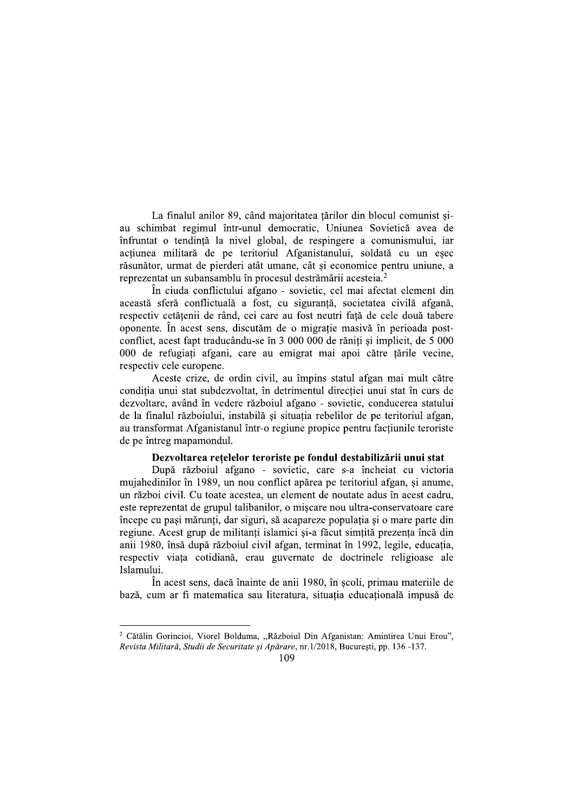La finalul anilor 89, când majoritatea țărilor din blocul comunist șiau schimbat regimul într-unul democratic, Uniunea Sovietică avea de înfruntat o tendintă la nivel global, de respingere a comunismului, iar actiunea militară de pe teritoriul Afganistanului, soldată cu un esec răsunător, urmat de pierderi atât umane, cât si economice pentru uniune, a reprezentat un subansamblu în procesul destrămării acesteia.<sup>2</sup>

În ciuda conflictului afgano - sovietic, cel mai afectat element din această sferă conflictuală a fost, cu sigurantă, societatea civilă afgană, respectiv cetățenii de rând, cei care au fost neutri față de cele două tabere oponente. În acest sens, discutăm de o migrație masivă în perioada postconflict, acest fapt traducându-se în 3 000 000 de răniti și implicit, de 5 000 000 de refugiați afgani, care au emigrat mai apoi către țările vecine, respectiv cele europene.

Aceste crize, de ordin civil, au împins statul afgan mai mult către conditia unui stat subdezvoltat, în detrimentul directiei unui stat în curs de dezvoltare, având în vedere războiul afgano - sovietic, conducerea statului de la finalul războiului, instabilă și situația rebelilor de pe teritoriul afgan, au transformat Afganistanul într-o regiune propice pentru factiunile teroriste de pe întreg mapamondul.

#### Dezvoltarea rețelelor teroriste pe fondul destabilizării unui stat

După războiul afgano - sovietic, care s-a încheiat cu victoria mujahedinilor în 1989, un nou conflict apărea pe teritoriul afgan, și anume, un război civil. Cu toate acestea, un element de noutate adus în acest cadru, este reprezentat de grupul talibanilor, o miscare nou ultra-conservatoare care începe cu pași mărunți, dar siguri, să acapareze populația și o mare parte din regiune. Acest grup de militanți islamici și-a făcut simțită prezența încă din anii 1980, însă după războiul civil afgan, terminat în 1992, legile, educatia, respectiv viata cotidiană, erau guvernate de doctrinele religioase ale Islamului.

În acest sens, dacă înainte de anii 1980, în școli, primau materiile de bază, cum ar fi matematica sau literatura, situația educațională impusă de

<sup>&</sup>lt;sup>2</sup> Cătălin Gorincioi, Viorel Bolduma, "Războiul Din Afganistan: Amintirea Unui Erou", Revista Militară, Studii de Securitate și Apărare, nr. 1/2018, București, pp. 136 -137.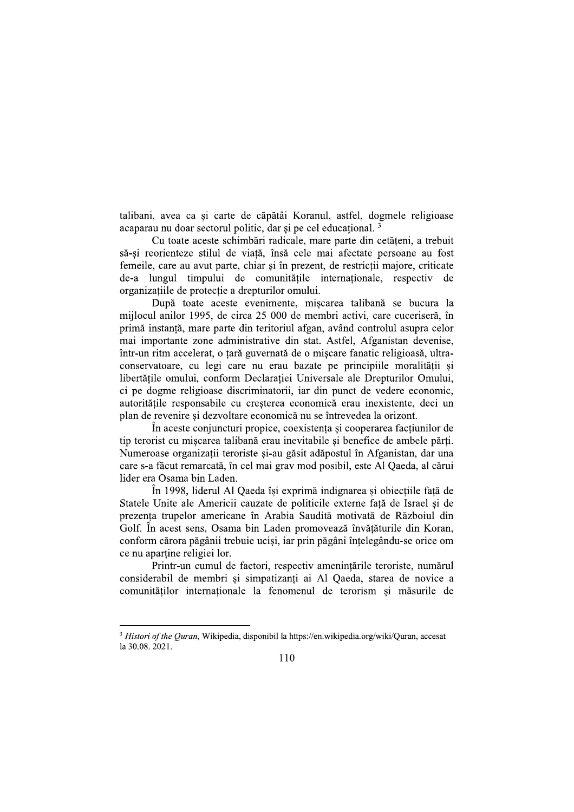talibani, avea ca și carte de căpătâi Koranul, astfel, dogmele religioase acaparau nu doar sectorul politic, dar si pe cel educational.<sup>3</sup>

Cu toate aceste schimbări radicale, mare parte din cetăteni, a trebuit să-și reorienteze stilul de viață, însă cele mai afectate persoane au fost femeile, care au avut parte, chiar si în prezent, de restrictii majore, criticate de-a lungul timpului de comunitățile internaționale, respectiv de organizațiile de protecție a drepturilor omului.

După toate aceste evenimente, miscarea talibană se bucura la mijlocul anilor 1995, de circa 25 000 de membri activi, care cuceriseră, în primă instanță, mare parte din teritoriul afgan, având controlul asupra celor mai importante zone administrative din stat. Astfel, Afganistan devenise, într-un ritm accelerat, o țară guvernată de o mișcare fanatic religioasă, ultraconservatoare, cu legi care nu erau bazate pe principiile moralității si libertățile omului, conform Declarației Universale ale Drepturilor Omului, ci pe dogme religioase discriminatorii, iar din punct de vedere economic, autoritătile responsabile cu cresterea economică erau inexistente, deci un plan de revenire și dezvoltare economică nu se întrevedea la orizont.

În aceste conjuncturi propice, coexistenta și cooperarea factiunilor de tip terorist cu miscarea talibană erau inevitabile si benefice de ambele părti. Numeroase organizații teroriste și-au găsit adăpostul în Afganistan, dar una care s-a făcut remarcată, în cel mai grav mod posibil, este Al Qaeda, al cărui lider era Osama bin Laden.

În 1998, liderul Al Qaeda își exprimă indignarea și obiecțiile față de Statele Unite ale Americii cauzate de politicile externe fată de Israel și de prezenta trupelor americane în Arabia Saudită motivată de Războiul din Golf. În acest sens, Osama bin Laden promovează învățăturile din Koran, conform cărora păgânii trebuie uciși, iar prin păgâni înțelegându-se orice om ce nu apartine religiei lor.

Printr-un cumul de factori, respectiv amenințările teroriste, numărul considerabil de membri și simpatizanți ai Al Qaeda, starea de novice a comunitătilor internationale la fenomenul de terorism si măsurile de

<sup>&</sup>lt;sup>3</sup> Histori of the Ouran, Wikipedia, disponibil la https://en.wikipedia.org/wiki/Quran, accesat la 30.08. 2021.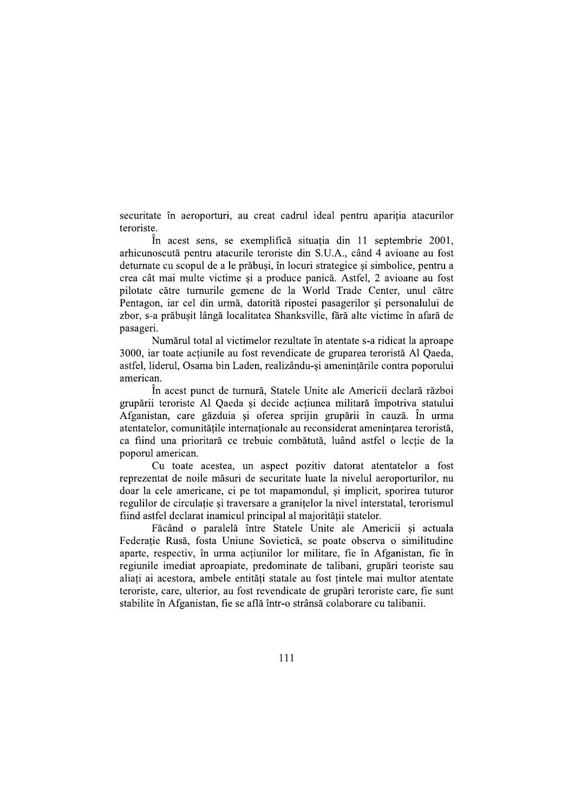securitate în aeroporturi, au creat cadrul ideal pentru apariția atacurilor teroriste.

În acest sens, se exemplifică situatia din 11 septembrie 2001, arhicunoscută pentru atacurile teroriste din S.U.A., când 4 avioane au fost deturnate cu scopul de a le prăbusi, în locuri strategice si simbolice, pentru a crea cât mai multe victime și a produce panică. Astfel, 2 avioane au fost pilotate către turnurile gemene de la World Trade Center, unul către Pentagon, jar cel din urmă, datorită ripostei pasagerilor și personalului de zbor, s-a prăbușit lângă localitatea Shanksville, fără alte victime în afară de pasageri.

Numărul total al victimelor rezultate în atentate s-a ridicat la aproape 3000, iar toate acțiunile au fost revendicate de gruparea teroristă Al Qaeda, astfel, liderul, Osama bin Laden, realizându-si amenintările contra poporului american.

În acest punct de turnură, Statele Unite ale Americii declară război grupării teroriste Al Qaeda și decide actiunea militară împotriva statului Afganistan, care găzduia și oferea sprijin grupării în cauză. În urma atentatelor, comunitățile internationale au reconsiderat amenintarea teroristă, ca fiind una prioritară ce trebuie combătută, luând astfel o lectie de la poporul american.

Cu toate acestea, un aspect pozitiv datorat atentatelor a fost reprezentat de noile măsuri de securitate luate la nivelul aeroporturilor, nu doar la cele americane, ci pe tot mapamondul, și implicit, sporirea tuturor regulilor de circulatie si traversare a granitelor la nivel interstatal, terorismul fiind astfel declarat inamicul principal al majorității statelor.

Făcând o paralelă între Statele Unite ale Americii și actuala Federație Rusă, fosta Uniune Sovietică, se poate observa o similitudine aparte, respectiv, în urma acțiunilor lor militare, fie în Afganistan, fie în regiunile imediat aproapiate, predominate de talibani, grupări teoriste sau aliați ai acestora, ambele entități statale au fost țintele mai multor atentate teroriste, care, ulterior, au fost revendicate de grupări teroriste care, fie sunt stabilite în Afganistan, fie se află într-o strânsă colaborare cu talibanii.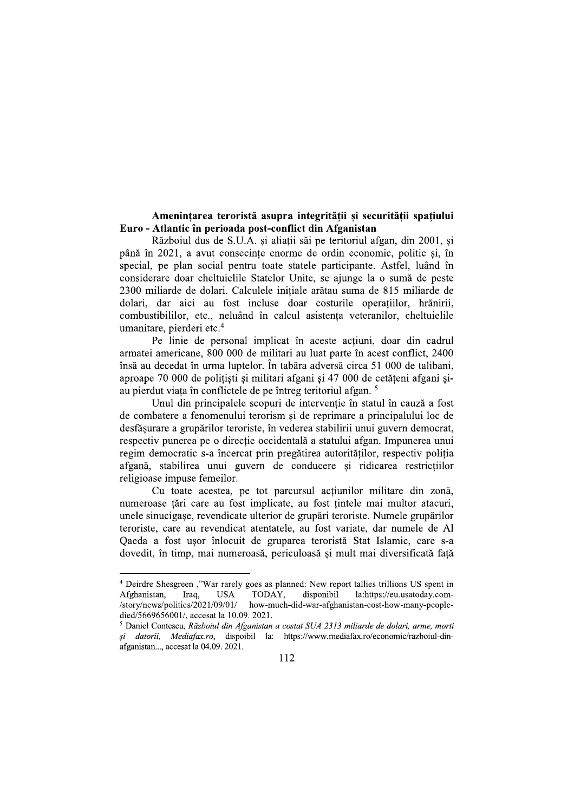# Amenințarea teroristă asupra integrității și securității spațiului Euro - Atlantic în perioada post-conflict din Afganistan

Războiul dus de S.U.A. și aliatii săi pe teritoriul afgan, din 2001, și până în 2021, a avut consecinte enorme de ordin economic, politic și, în special, pe plan social pentru toate statele participante. Astfel, luând în considerare doar cheltuielile Statelor Unite, se ajunge la o sumă de peste 2300 miliarde de dolari. Calculele inițiale arătau suma de 815 miliarde de dolari. dar aici au fost incluse doar costurile operațiilor, hrănirii, combustibililor, etc., neluând în calcul asistența veteranilor, cheltuielile umanitare, pierderi etc.<sup>4</sup>

Pe linie de personal implicat în aceste actiuni, doar din cadrul armatei americane, 800 000 de militari au luat parte în acest conflict, 2400 însă au decedat în urma luptelor. În tabăra adversă circa 51 000 de talibani, aproape 70 000 de politisti și militari afgani și 47 000 de cetăteni afgani șiau pierdut viața în conflictele de pe întreg teritoriul afgan.<sup>5</sup>

Unul din principalele scopuri de interventie în statul în cauză a fost de combatere a fenomenului terorism și de reprimare a principalului loc de desfăsurare a grupărilor teroriste, în vederea stabilirii unui guvern democrat, respectiv punerea pe o directie occidentală a statului afgan. Impunerea unui regim democratic s-a încercat prin pregătirea autorităților, respectiv poliția afgană, stabilirea unui guvern de conducere și ridicarea restricțiilor religioase impuse femeilor.

Cu toate acestea, pe tot parcursul acțiunilor militare din zonă, numeroase tări care au fost implicate, au fost tintele mai multor atacuri, unele sinucigase, revendicate ulterior de grupări teroriste. Numele grupărilor teroriste, care au revendicat atentatele, au fost variate, dar numele de Al Qaeda a fost usor înlocuit de gruparea teroristă Stat Islamic, care s-a dovedit, în timp, mai numeroasă, periculoasă și mult mai diversificată față

<sup>&</sup>lt;sup>4</sup> Deirdre Shesgreen ,"War rarely goes as planned: New report tallies trillions US spent in Afghanistan, **USA** TODAY, disponibil la:https://eu.usatoday.com-Iraq, /story/news/politics/2021/09/01/ how-much-did-war-afghanistan-cost-how-many-peopledied/5669656001/, accesat la 10.09. 2021.

<sup>&</sup>lt;sup>5</sup> Daniel Contescu, Războiul din Afganistan a costat SUA 2313 miliarde de dolari, arme, morti si datorii, Mediafax.ro, dispoibil la: https://www.mediafax.ro/economic/razboiul-dinafganistan..., accesat la 04.09. 2021.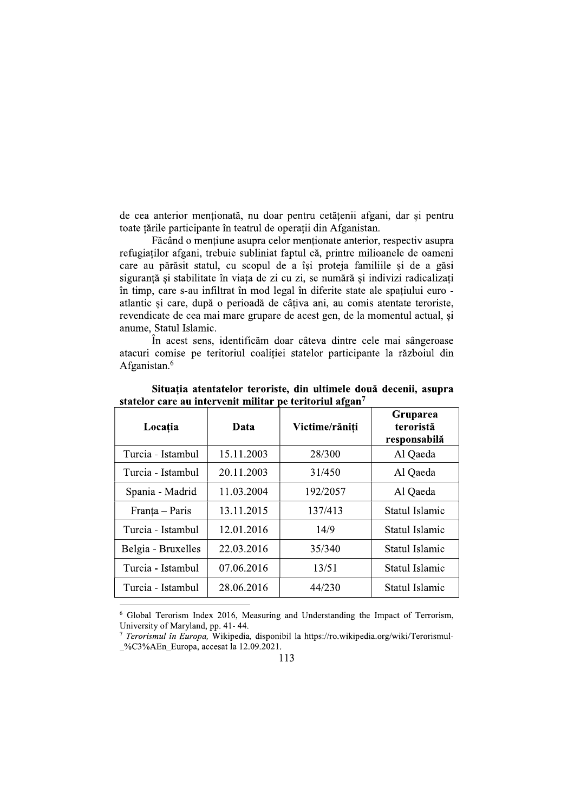de cea anterior menționată, nu doar pentru cetățenii afgani, dar și pentru toate tările participante în teatrul de operatii din Afganistan.

Făcând o mentiune asupra celor mentionate anterior, respectiv asupra refugiaților afgani, trebuie subliniat faptul că, printre milioanele de oameni care au părăsit statul, cu scopul de a își proteja familiile și de a găsi siguranță și stabilitate în viața de zi cu zi, se numără și indivizi radicalizați în timp, care s-au infiltrat în mod legal în diferite state ale spațiului euro atlantic si care, după o perioadă de câtiva ani, au comis atentate teroriste, revendicate de cea mai mare grupare de acest gen, de la momentul actual, și anume, Statul Islamic.

În acest sens, identificăm doar câteva dintre cele mai sângeroase atacuri comise pe teritoriul coaliției statelor participante la războiul din Afganistan.<sup>6</sup>

| Locația            | Data       | Victime/răniti | Gruparea<br>teroristă<br>responsabilă |
|--------------------|------------|----------------|---------------------------------------|
| Turcia - Istambul  | 15.11.2003 | 28/300         | Al Qaeda                              |
| Turcia - Istambul  | 20.11.2003 | 31/450         | Al Qaeda                              |
| Spania - Madrid    | 11.03.2004 | 192/2057       | Al Qaeda                              |
| Franța – Paris     | 13.11.2015 | 137/413        | Statul Islamic                        |
| Turcia - Istambul  | 12.01.2016 | 14/9           | Statul Islamic                        |
| Belgia - Bruxelles | 22.03.2016 | 35/340         | Statul Islamic                        |
| Turcia - Istambul  | 07.06.2016 | 13/51          | Statul Islamic                        |
| Turcia - Istambul  | 28.06.2016 | 44/230         | Statul Islamic                        |

Situația atentatelor teroriste, din ultimele două decenii, asupra statelor care au intervenit militar pe teritoriul afgan<sup>7</sup>

<sup>6</sup> Global Terorism Index 2016, Measuring and Understanding the Impact of Terrorism, University of Maryland, pp. 41-44.

<sup>&</sup>lt;sup>7</sup> Terorismul în Europa, Wikipedia, disponibil la https://ro.wikipedia.org/wiki/Terorismul- $\%C3\%$ AEn Europa, accesat la 12.09.2021.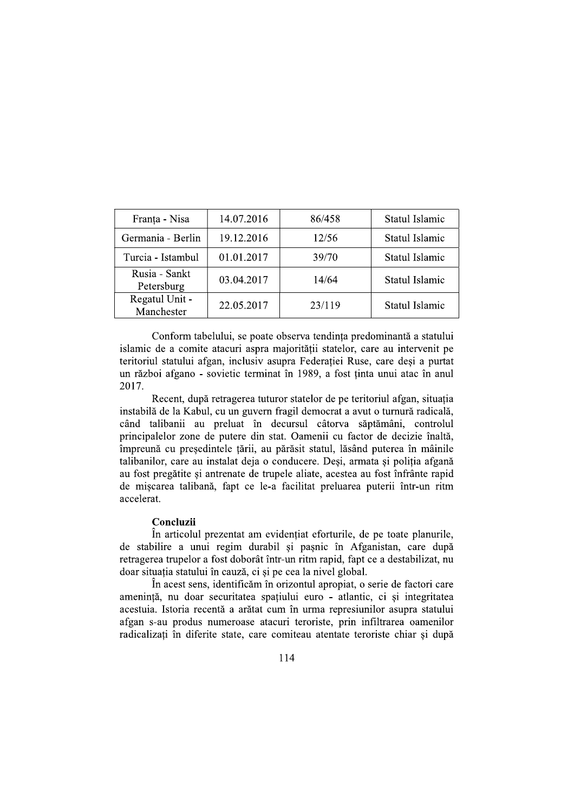| Franța - Nisa                | 14.07.2016 | 86/458 | Statul Islamic |
|------------------------------|------------|--------|----------------|
| Germania - Berlin            | 19.12.2016 | 12/56  | Statul Islamic |
| Turcia - Istambul            | 01.01.2017 | 39/70  | Statul Islamic |
| Rusia - Sankt<br>Petersburg  | 03.04.2017 | 14/64  | Statul Islamic |
| Regatul Unit -<br>Manchester | 22.05.2017 | 23/119 | Statul Islamic |

Conform tabelului, se poate observa tendința predominantă a statului islamic de a comite atacuri aspra majorității statelor, care au intervenit pe teritoriul statului afgan, inclusiv asupra Federației Ruse, care deși a purtat un război afgano - sovietic terminat în 1989, a fost ținta unui atac în anul 2017.

Recent, după retragerea tuturor statelor de pe teritoriul afgan, situația instabilă de la Kabul, cu un guvern fragil democrat a avut o turnură radicală, când talibanii au preluat în decursul câtorva săptămâni, controlul principalelor zone de putere din stat. Oamenii cu factor de decizie înaltă, împreună cu președintele țării, au părăsit statul, lăsând puterea în mâinile talibanilor, care au instalat deja o conducere. Desi, armata și poliția afgană au fost pregătite și antrenate de trupele aliate, acestea au fost înfrânte rapid de mișcarea talibană, fapt ce le-a facilitat preluarea puterii într-un ritm accelerat.

### Concluzii

În articolul prezentat am evidențiat eforturile, de pe toate planurile, de stabilire a unui regim durabil si pasnic în Afganistan, care după retragerea trupelor a fost doborât într-un ritm rapid, fapt ce a destabilizat, nu doar situația statului în cauză, ci și pe cea la nivel global.

În acest sens, identificăm în orizontul apropiat, o serie de factori care amenintă, nu doar securitatea spatiului euro - atlantic, ci si integritatea acestuia. Istoria recentă a arătat cum în urma represiunilor asupra statului afgan s-au produs numeroase atacuri teroriste, prin infiltrarea oamenilor radicalizați în diferite state, care comiteau atentate teroriste chiar și după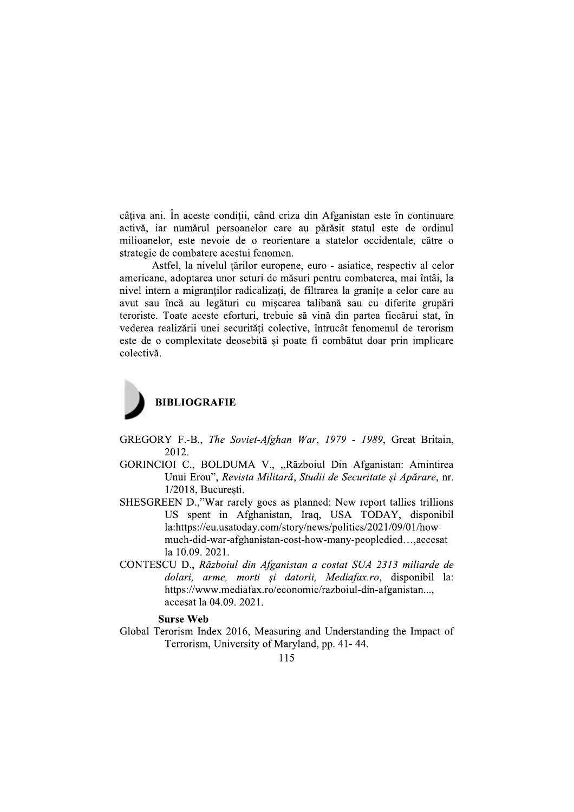câțiva ani. În aceste condiții, când criza din Afganistan este în continuare activă, iar numărul persoanelor care au părăsit statul este de ordinul milioanelor, este nevoie de o reorientare a statelor occidentale, către o strategie de combatere acestui fenomen.

Astfel, la nivelul tărilor europene, euro - asiatice, respectiv al celor americane, adoptarea unor seturi de măsuri pentru combaterea, mai întâi, la nivel intern a migranților radicalizați, de filtrarea la granițe a celor care au avut sau încă au legături cu mișcarea talibană sau cu diferite grupări teroriste. Toate aceste eforturi, trebuie să vină din partea fiecărui stat, în vederea realizării unei securități colective, întrucât fenomenul de terorism este de o complexitate deosebită și poate fi combătut doar prin implicare colectivă.



- GREGORY F.-B., The Soviet-Afghan War, 1979 1989, Great Britain, 2012.
- GORINCIOI C., BOLDUMA V., "Războiul Din Afganistan: Amintirea Unui Erou", Revista Militară, Studii de Securitate și Apărare, nr. 1/2018, Bucuresti.
- SHESGREEN D.,"War rarely goes as planned: New report tallies trillions US spent in Afghanistan, Iraq, USA TODAY, disponibil la:https://eu.usatoday.com/story/news/politics/2021/09/01/howmuch-did-war-afghanistan-cost-how-many-peopledied...,accesat la 10.09. 2021.
- CONTESCU D., Războiul din Afganistan a costat SUA 2313 miliarde de dolari, arme, morti și datorii, Mediafax.ro, disponibil la: https://www.mediafax.ro/economic/razboiul-din-afganistan... accesat la 04.09. 2021.

### **Surse Web**

Global Terorism Index 2016, Measuring and Understanding the Impact of Terrorism, University of Maryland, pp. 41-44.